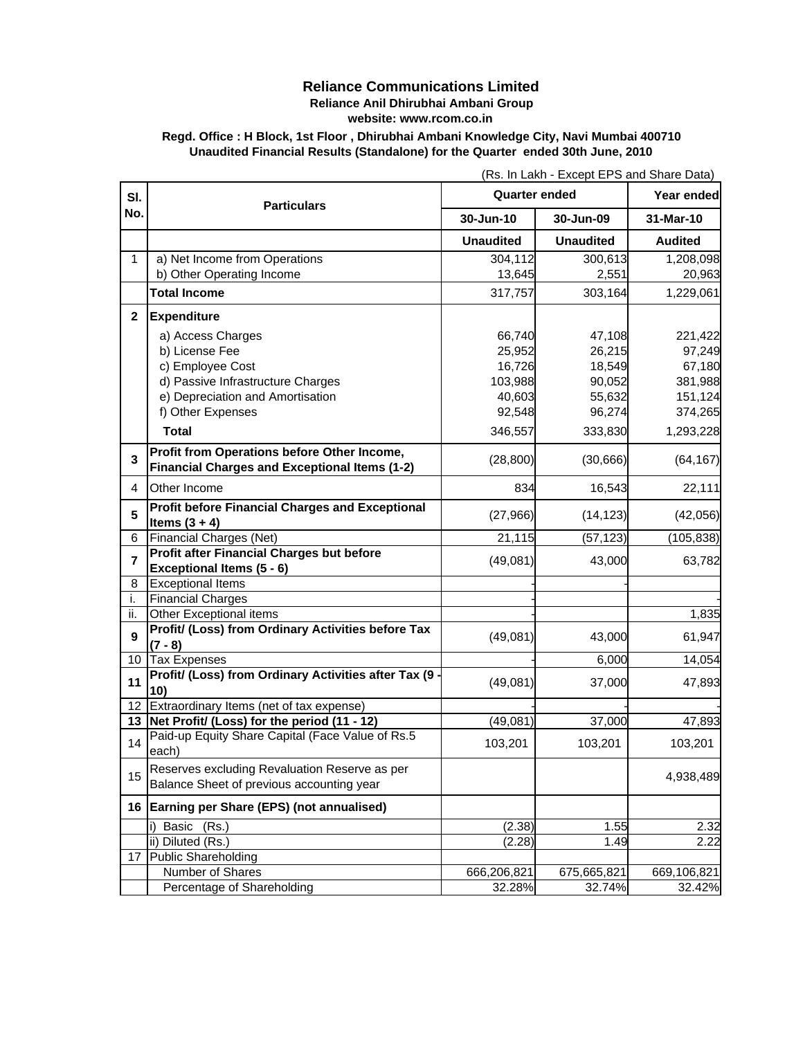## **Reliance Communications Limited Reliance Anil Dhirubhai Ambani Group**

**website: www.rcom.co.in**

**Regd. Office : H Block, 1st Floor , Dhirubhai Ambani Knowledge City, Navi Mumbai 400710 Unaudited Financial Results (Standalone) for the Quarter ended 30th June, 2010**

| SI.<br>No.     | <b>Particulars</b>                                                                         | <b>Quarter ended</b> |                  | Year ended     |
|----------------|--------------------------------------------------------------------------------------------|----------------------|------------------|----------------|
|                |                                                                                            | 30-Jun-10            | 30-Jun-09        | 31-Mar-10      |
|                |                                                                                            | <b>Unaudited</b>     | <b>Unaudited</b> | <b>Audited</b> |
| 1              | a) Net Income from Operations                                                              | 304,112              | 300,613          | 1,208,098      |
|                | b) Other Operating Income                                                                  | 13,645               | 2,551            | 20,963         |
|                | <b>Total Income</b>                                                                        | 317,757              | 303,164          | 1,229,061      |
| $\mathbf{2}$   | <b>Expenditure</b>                                                                         |                      |                  |                |
|                | a) Access Charges                                                                          | 66,740               | 47,108           | 221,422        |
|                | b) License Fee                                                                             | 25,952               | 26,215           | 97,249         |
|                | c) Employee Cost                                                                           | 16,726               | 18,549           | 67,180         |
|                | d) Passive Infrastructure Charges                                                          | 103,988              | 90,052           | 381,988        |
|                | e) Depreciation and Amortisation                                                           | 40,603               | 55,632           | 151,124        |
|                | f) Other Expenses                                                                          | 92,548               | 96,274           | 374,265        |
|                | Total                                                                                      | 346,557              | 333,830          | 1,293,228      |
|                | Profit from Operations before Other Income,                                                |                      |                  |                |
| 3              | <b>Financial Charges and Exceptional Items (1-2)</b>                                       | (28, 800)            | (30, 666)        | (64, 167)      |
| 4              | Other Income                                                                               | 834                  | 16,543           | 22,111         |
|                | <b>Profit before Financial Charges and Exceptional</b>                                     |                      |                  |                |
| 5              | Items $(3 + 4)$                                                                            | (27, 966)            | (14, 123)        | (42, 056)      |
| 6              | <b>Financial Charges (Net)</b>                                                             | 21,115               | (57, 123)        | (105, 838)     |
| $\overline{7}$ | Profit after Financial Charges but before                                                  |                      |                  |                |
|                | Exceptional Items (5 - 6)                                                                  | (49,081)             | 43,000           | 63,782         |
| 8              | <b>Exceptional Items</b>                                                                   |                      |                  |                |
| i.             | <b>Financial Charges</b>                                                                   |                      |                  |                |
| ii.            | Other Exceptional items                                                                    |                      |                  | 1,835          |
|                | Profit/ (Loss) from Ordinary Activities before Tax                                         |                      |                  |                |
| 9              | $(7 - 8)$                                                                                  | (49,081)             | 43,000           | 61,947         |
| 10             | <b>Tax Expenses</b>                                                                        |                      | 6,000            | 14,054         |
|                | Profit/ (Loss) from Ordinary Activities after Tax (9                                       |                      |                  |                |
| 11             | 10)                                                                                        | (49,081)             | 37,000           | 47,893         |
| 12             | Extraordinary Items (net of tax expense)                                                   |                      |                  |                |
| 13             | Net Profit/ (Loss) for the period (11 - 12)                                                | (49, 081)            | 37,000           | 47,893         |
| 14             | Paid-up Equity Share Capital (Face Value of Rs.5<br>each)                                  | 103,201              | 103,201          | 103,201        |
| 15             | Reserves excluding Revaluation Reserve as per<br>Balance Sheet of previous accounting year |                      |                  | 4,938,489      |
| 16             | Earning per Share (EPS) (not annualised)                                                   |                      |                  |                |
|                | i)<br>Basic<br>(Rs.)                                                                       | (2.38)               | 1.55             | 2.32           |
|                | ii) Diluted (Rs.)                                                                          | (2.28)               | 1.49             | 2.22           |
| 17             | <b>Public Shareholding</b>                                                                 |                      |                  |                |
|                | Number of Shares                                                                           | 666,206,821          | 675,665,821      | 669,106,821    |
|                | Percentage of Shareholding                                                                 | 32.28%               | 32.74%           | 32.42%         |

(Rs. In Lakh - Except EPS and Share Data)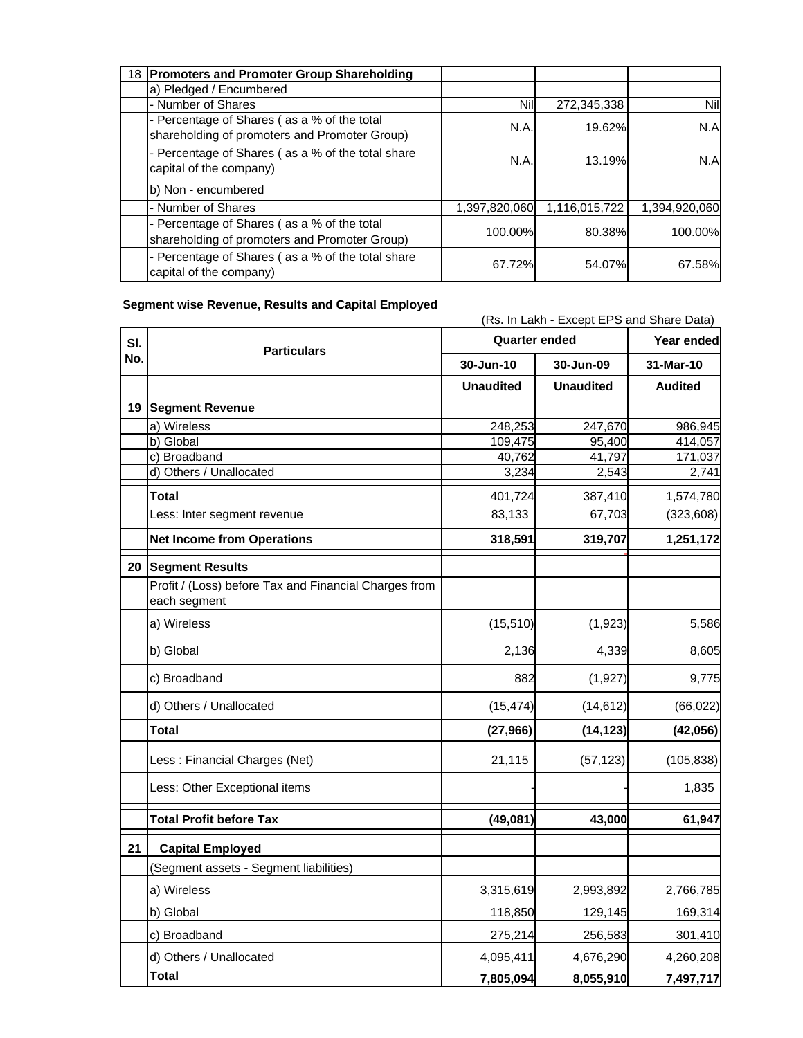| 18 Promoters and Promoter Group Shareholding                                                 |               |               |               |
|----------------------------------------------------------------------------------------------|---------------|---------------|---------------|
| a) Pledged / Encumbered                                                                      |               |               |               |
| - Number of Shares                                                                           | Nil           | 272,345,338   | Nil           |
| - Percentage of Shares (as a % of the total<br>shareholding of promoters and Promoter Group) | N.A.          | 19.62%        | N.A           |
| - Percentage of Shares (as a % of the total share<br>capital of the company)                 | N.A.          | 13.19%        | N.A           |
| b) Non - encumbered                                                                          |               |               |               |
| - Number of Shares                                                                           | 1,397,820,060 | 1,116,015,722 | 1,394,920,060 |
| - Percentage of Shares (as a % of the total<br>shareholding of promoters and Promoter Group) | 100.00%       | 80.38%        | 100.00%       |
| - Percentage of Shares (as a % of the total share<br>capital of the company)                 | 67.72%        | 54.07%        | 67.58%        |

(Rs. In Lakh - Except EPS and Share Data)

## **Segment wise Revenue, Results and Capital Employed**

**Year ended 30-Jun-10 30-Jun-09 31-Mar-10 Unaudited Unaudited Audited 19 Segment Revenue** a) Wireless 248,253 247,670 986,945 b) Global 109,475 95,400 414,057 c) Broadband 40,762 41,797 171,037<br>d) Others / Unallocated 3,234 2,543 2,741 d) Others / Unallocated 3,234 2,543 2,741 **Total** 401,724 387,410 1,574,780 Less: Inter segment revenue 83,133 67,703 (323,608) **Net Income from Operations 1.251,172 1,251,172 0 - (0) 20 Segment Results** Profit / (Loss) before Tax and Financial Charges from each segment a) Wireless 5,586 b) Global 2,136 4,339 8,605 c) Broadband 882 (1,927) 9,775 d) Others / Unallocated (15,474) (14,612) (66,022) **Total (27,966) (14,123) (42,056) (0) - -** Less : Financial Charges (Net) 21,115 (57,123) (105,838) Less: Other Exceptional items - - 1,835 **Total Profit before Tax (49,081) 43,000 61,947**  (0) **- - 21 Capital Employed** (Segment assets - Segment liabilities) a) Wireless 3,315,619 2,993,892 2,766,785 b) Global 118,850 129,145 169,314 c) Broadband 275,214 256,583 301,410 d) Others / Unallocated 4,095,411 4,676,290 4,260,208 **Total 7,805,094 8,055,910 7,497,717 Sl. No. Particulars Quarter ended**